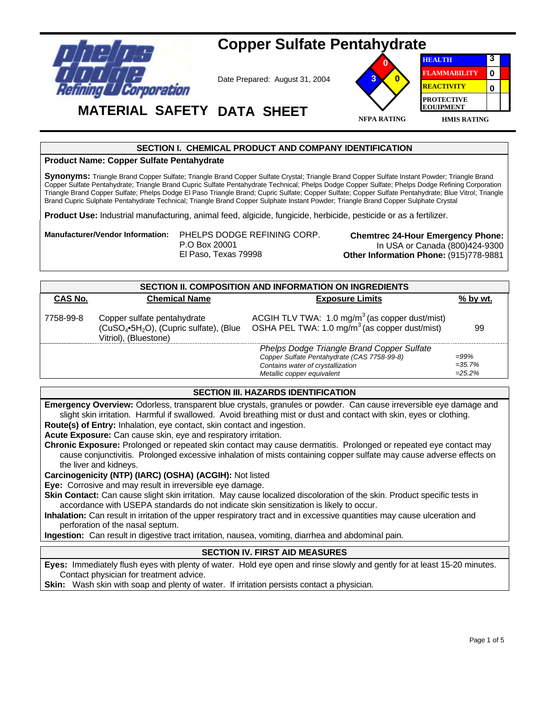

# **Copper Sulfate Pentahydrate**

Date Prepared: August 31, 2004



**HEALTH FLAMMABILITY REACTIVITY PROTECTIVE EQUIPMENT 3 0 0**

## **MATERIAL SAFETY DATA SHEET**

## **SECTION I. CHEMICAL PRODUCT AND COMPANY IDENTIFICATION**

#### **Product Name: Copper Sulfate Pentahydrate**

**Synonyms:** Triangle Brand Copper Sulfate; Triangle Brand Copper Sulfate Crystal; Triangle Brand Copper Sulfate Instant Powder; Triangle Brand Copper Sulfate Pentahydrate; Triangle Brand Cupric Sulfate Pentahydrate Technical; Phelps Dodge Copper Sulfate; Phelps Dodge Refining Corporation Triangle Brand Copper Sulfate; Phelps Dodge El Paso Triangle Brand; Cupric Sulfate; Copper Sulfate; Copper Sulfate Pentahydrate; Blue Vitrol; Triangle Brand Cupric Sulphate Pentahydrate Technical; Triangle Brand Copper Sulphate Instant Powder; Triangle Brand Copper Sulphate Crystal

**Product Use:** Industrial manufacturing, animal feed, algicide, fungicide, herbicide, pesticide or as a fertilizer.

**Manufacturer/Vendor Information:** PHELPS DODGE REFINING CORP. P.O Box 20001

El Paso, Texas 79998

**Chemtrec 24-Hour Emergency Phone:**  In USA or Canada (800)424-9300 **Other Information Phone:** (915)778-9881

| SECTION II. COMPOSITION AND INFORMATION ON INGREDIENTS |                                                                                                                         |                                                                                                                                                              |                                 |  |  |
|--------------------------------------------------------|-------------------------------------------------------------------------------------------------------------------------|--------------------------------------------------------------------------------------------------------------------------------------------------------------|---------------------------------|--|--|
| <b>CAS No.</b>                                         | <b>Chemical Name</b>                                                                                                    | <b>Exposure Limits</b>                                                                                                                                       | % by wt.                        |  |  |
| 7758-99-8                                              | Copper sulfate pentahydrate<br>(CuSO <sub>4</sub> •5H <sub>2</sub> O), (Cupric sulfate), (Blue<br>Vitriol), (Bluestone) | ACGIH TLV TWA: $1.0 \text{ mg/m}^3$ (as copper dust/mist)<br>OSHA PEL TWA: $1.0 \text{ mg/m}^3$ (as copper dust/mist)                                        | 99                              |  |  |
|                                                        |                                                                                                                         | Phelps Dodge Triangle Brand Copper Sulfate<br>Copper Sulfate Pentahydrate (CAS 7758-99-8)<br>Contains water of crystallization<br>Metallic copper equivalent | $=99\%$<br>$=35.7%$<br>$=25.2%$ |  |  |

## **SECTION III. HAZARDS IDENTIFICATION**

**Emergency Overview:** Odorless, transparent blue crystals, granules or powder. Can cause irreversible eye damage and slight skin irritation. Harmful if swallowed. Avoid breathing mist or dust and contact with skin, eyes or clothing. **Route(s) of Entry:** Inhalation, eye contact, skin contact and ingestion.

**Acute Exposure:** Can cause skin, eye and respiratory irritation.

**Chronic Exposure:** Prolonged or repeated skin contact may cause dermatitis. Prolonged or repeated eye contact may cause conjunctivitis. Prolonged excessive inhalation of mists containing copper sulfate may cause adverse effects on the liver and kidneys.

**Carcinogenicity (NTP) (IARC) (OSHA) (ACGIH):** Not listed

**Eye:** Corrosive and may result in irreversible eye damage.

**Skin Contact:** Can cause slight skin irritation. May cause localized discoloration of the skin. Product specific tests in accordance with USEPA standards do not indicate skin sensitization is likely to occur.

**Inhalation:** Can result in irritation of the upper respiratory tract and in excessive quantities may cause ulceration and perforation of the nasal septum.

**Ingestion:** Can result in digestive tract irritation, nausea, vomiting, diarrhea and abdominal pain.

## **SECTION IV. FIRST AID MEASURES**

**Eyes:** Immediately flush eyes with plenty of water. Hold eye open and rinse slowly and gently for at least 15-20 minutes. Contact physician for treatment advice.

**Skin:** Wash skin with soap and plenty of water. If irritation persists contact a physician.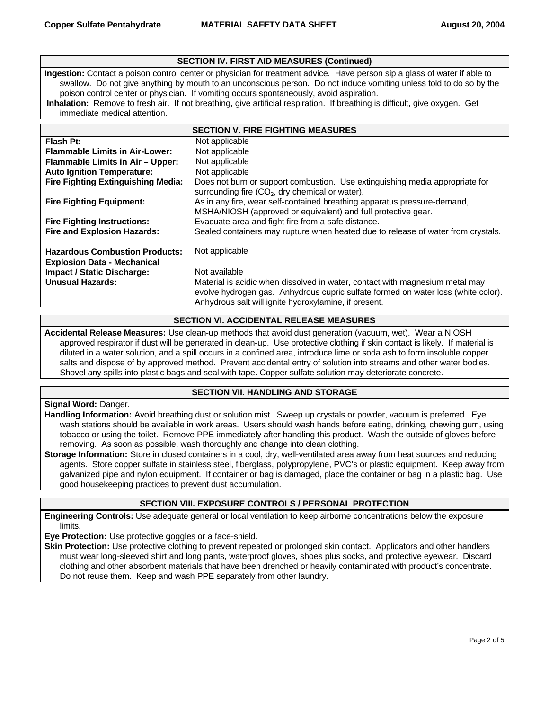## **SECTION IV. FIRST AID MEASURES (Continued)**

**Ingestion:** Contact a poison control center or physician for treatment advice. Have person sip a glass of water if able to swallow. Do not give anything by mouth to an unconscious person. Do not induce vomiting unless told to do so by the poison control center or physician. If vomiting occurs spontaneously, avoid aspiration.

**Inhalation:** Remove to fresh air. If not breathing, give artificial respiration. If breathing is difficult, give oxygen. Get immediate medical attention.

| <b>SECTION V. FIRE FIGHTING MEASURES</b>                                    |                                                                                                                                                                                                                            |  |
|-----------------------------------------------------------------------------|----------------------------------------------------------------------------------------------------------------------------------------------------------------------------------------------------------------------------|--|
| Flash Pt:                                                                   | Not applicable                                                                                                                                                                                                             |  |
| <b>Flammable Limits in Air-Lower:</b>                                       | Not applicable                                                                                                                                                                                                             |  |
| Flammable Limits in Air - Upper:                                            | Not applicable                                                                                                                                                                                                             |  |
| <b>Auto Ignition Temperature:</b>                                           | Not applicable                                                                                                                                                                                                             |  |
| <b>Fire Fighting Extinguishing Media:</b>                                   | Does not burn or support combustion. Use extinguishing media appropriate for<br>surrounding fire $(CO2)$ , dry chemical or water).                                                                                         |  |
| <b>Fire Fighting Equipment:</b>                                             | As in any fire, wear self-contained breathing apparatus pressure-demand,<br>MSHA/NIOSH (approved or equivalent) and full protective gear.                                                                                  |  |
| <b>Fire Fighting Instructions:</b>                                          | Evacuate area and fight fire from a safe distance.                                                                                                                                                                         |  |
| <b>Fire and Explosion Hazards:</b>                                          | Sealed containers may rupture when heated due to release of water from crystals.                                                                                                                                           |  |
| <b>Hazardous Combustion Products:</b><br><b>Explosion Data - Mechanical</b> | Not applicable                                                                                                                                                                                                             |  |
| <b>Impact / Static Discharge:</b>                                           | Not available                                                                                                                                                                                                              |  |
| <b>Unusual Hazards:</b>                                                     | Material is acidic when dissolved in water, contact with magnesium metal may<br>evolve hydrogen gas. Anhydrous cupric sulfate formed on water loss (white color).<br>Anhydrous salt will ignite hydroxylamine, if present. |  |

#### **SECTION VI. ACCIDENTAL RELEASE MEASURES**

**Accidental Release Measures:** Use clean-up methods that avoid dust generation (vacuum, wet). Wear a NIOSH approved respirator if dust will be generated in clean-up. Use protective clothing if skin contact is likely. If material is diluted in a water solution, and a spill occurs in a confined area, introduce lime or soda ash to form insoluble copper salts and dispose of by approved method. Prevent accidental entry of solution into streams and other water bodies. Shovel any spills into plastic bags and seal with tape. Copper sulfate solution may deteriorate concrete.

## **SECTION VII. HANDLING AND STORAGE**

#### **Signal Word:** Danger.

**Handling Information:** Avoid breathing dust or solution mist. Sweep up crystals or powder, vacuum is preferred. Eye wash stations should be available in work areas. Users should wash hands before eating, drinking, chewing gum, using tobacco or using the toilet. Remove PPE immediately after handling this product. Wash the outside of gloves before removing. As soon as possible, wash thoroughly and change into clean clothing.

**Storage Information:** Store in closed containers in a cool, dry, well-ventilated area away from heat sources and reducing agents. Store copper sulfate in stainless steel, fiberglass, polypropylene, PVC's or plastic equipment. Keep away from galvanized pipe and nylon equipment. If container or bag is damaged, place the container or bag in a plastic bag. Use good housekeeping practices to prevent dust accumulation.

## **SECTION VIII. EXPOSURE CONTROLS / PERSONAL PROTECTION**

**Engineering Controls:** Use adequate general or local ventilation to keep airborne concentrations below the exposure limits.

**Eye Protection:** Use protective goggles or a face-shield.

**Skin Protection:** Use protective clothing to prevent repeated or prolonged skin contact. Applicators and other handlers must wear long-sleeved shirt and long pants, waterproof gloves, shoes plus socks, and protective eyewear. Discard clothing and other absorbent materials that have been drenched or heavily contaminated with product's concentrate. Do not reuse them. Keep and wash PPE separately from other laundry.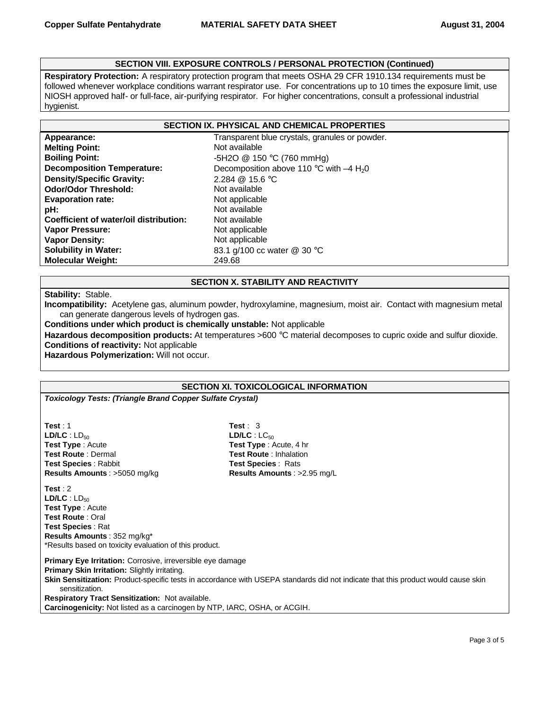## **SECTION VIII. EXPOSURE CONTROLS / PERSONAL PROTECTION (Continued)**

**Respiratory Protection:** A respiratory protection program that meets OSHA 29 CFR 1910.134 requirements must be followed whenever workplace conditions warrant respirator use. For concentrations up to 10 times the exposure limit, use NIOSH approved half- or full-face, air-purifying respirator. For higher concentrations, consult a professional industrial hygienist.

#### **SECTION IX. PHYSICAL AND CHEMICAL PROPERTIES**

| Appearance:                            | Transparent   |
|----------------------------------------|---------------|
| <b>Melting Point:</b>                  | Not available |
| <b>Boiling Point:</b>                  | $-5H2O$ @ 15  |
| <b>Decomposition Temperature:</b>      | Decompositio  |
| <b>Density/Specific Gravity:</b>       | 2.284 @ 15.6  |
| <b>Odor/Odor Threshold:</b>            | Not available |
| <b>Evaporation rate:</b>               | Not applicabl |
| pH:                                    | Not available |
| Coefficient of water/oil distribution: | Not available |
| Vapor Pressure:                        | Not applicabl |
| <b>Vapor Density:</b>                  | Not applicabl |
| <b>Solubility in Water:</b>            | 83.1 g/100 co |
| <b>Molecular Weight:</b>               | 249.68        |

parent blue crystals, granules or powder. **Melting Point:** Not available **Boiling Point:** -5H2O @ 150 °C (760 mmHg) **Deprese 110 °C with –4 H<sub>2</sub>0** mposition above 110 °C with –4 H<sub>2</sub>0 **Density/Specific Gravity:** 2.284 @ 15.6 °C vailable **Evaporation rate:** Not applicable **Vapor Pressure:** Not applicable **Vapor Density:** Not applicable **Solubility in Water:** 83.1 g/100 cc water @ 30 °C

## **SECTION X. STABILITY AND REACTIVITY**

**Stability:** Stable.

**Incompatibility:** Acetylene gas, aluminum powder, hydroxylamine, magnesium, moist air. Contact with magnesium metal can generate dangerous levels of hydrogen gas.

**Conditions under which product is chemically unstable:** Not applicable

**Hazardous decomposition products:** At temperatures >600 °C material decomposes to cupric oxide and sulfur dioxide. **Conditions of reactivity:** Not applicable

**Hazardous Polymerization:** Will not occur.

## **SECTION XI. TOXICOLOGICAL INFORMATION**

*Toxicology Tests: (Triangle Brand Copper Sulfate Crystal)*

**Test** : 1 **Test** : 3 **LD/LC** : LD<sub>50</sub> **LD/LC** : LC<sub>50</sub> **Test Type** : Acute **Test Type** : Acute, 4 hr **Test Route** : Dermal **Test Route** : Inhalation **Test Species** : Rabbit **Test Species** : Rats **Results Amounts** : >5050 mg/kg **Results Amounts** : >2.95 mg/L

**Test** : 2  $LD/LC$  :  $LD_{50}$ **Test Type** : Acute **Test Route** : Oral **Test Species** : Rat **Results Amounts** : 352 mg/kg\* \*Results based on toxicity evaluation of this product.

**Primary Eye Irritation:** Corrosive, irreversible eye damage **Primary Skin Irritation:** Slightly irritating. **Skin Sensitization:** Product-specific tests in accordance with USEPA standards did not indicate that this product would cause skin sensitization. **Respiratory Tract Sensitization:** Not available. **Carcinogenicity:** Not listed as a carcinogen by NTP, IARC, OSHA, or ACGIH.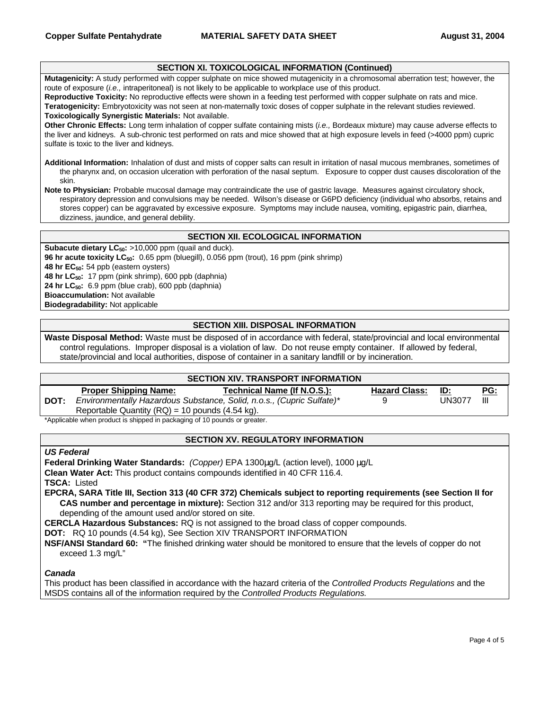#### **SECTION XI. TOXICOLOGICAL INFORMATION (Continued)**

**Mutagenicity:** A study performed with copper sulphate on mice showed mutagenicity in a chromosomal aberration test; however, the route of exposure (*i.e.,* intraperitoneal) is not likely to be applicable to workplace use of this product.

**Reproductive Toxicity:** No reproductive effects were shown in a feeding test performed with copper sulphate on rats and mice. **Teratogenicity:** Embryotoxicity was not seen at non-maternally toxic doses of copper sulphate in the relevant studies reviewed.

**Toxicologically Synergistic Materials:** Not available.

**Other Chronic Effects:** Long term inhalation of copper sulfate containing mists (*i.e.,* Bordeaux mixture) may cause adverse effects to the liver and kidneys. A sub-chronic test performed on rats and mice showed that at high exposure levels in feed (>4000 ppm) cupric sulfate is toxic to the liver and kidneys.

**Additional Information:** Inhalation of dust and mists of copper salts can result in irritation of nasal mucous membranes, sometimes of the pharynx and, on occasion ulceration with perforation of the nasal septum. Exposure to copper dust causes discoloration of the skin.

**Note to Physician:** Probable mucosal damage may contraindicate the use of gastric lavage. Measures against circulatory shock, respiratory depression and convulsions may be needed. Wilson's disease or G6PD deficiency (individual who absorbs, retains and stores copper) can be aggravated by excessive exposure. Symptoms may include nausea, vomiting, epigastric pain, diarrhea, dizziness, jaundice, and general debility.

#### **SECTION XII. ECOLOGICAL INFORMATION**

**Subacute dietary LC<sub>50</sub>:** >10,000 ppm (quail and duck). **96 hr acute toxicity LC50:** 0.65 ppm (bluegill), 0.056 ppm (trout), 16 ppm (pink shrimp) **48 hr EC50:** 54 ppb (eastern oysters) **48 hr LC50:** 17 ppm (pink shrimp), 600 ppb (daphnia) **24 hr LC50:** 6.9 ppm (blue crab), 600 ppb (daphnia) **Bioaccumulation:** Not available

**Biodegradability:** Not applicable

## **SECTION XIII. DISPOSAL INFORMATION**

**Waste Disposal Method:** Waste must be disposed of in accordance with federal, state/provincial and local environmental control regulations. Improper disposal is a violation of law. Do not reuse empty container. If allowed by federal, state/provincial and local authorities, dispose of container in a sanitary landfill or by incineration.

#### **SECTION XIV. TRANSPORT INFORMATION**

|                                                                          | <b>Proper Shipping Name:</b>                        | Technical Name (If N.O.S.):                                           | <b>Hazard Class:</b> | ID:           | PG: |
|--------------------------------------------------------------------------|-----------------------------------------------------|-----------------------------------------------------------------------|----------------------|---------------|-----|
| DOT:                                                                     |                                                     | Environmentally Hazardous Substance, Solid, n.o.s., (Cupric Sulfate)* |                      | <b>UN3077</b> |     |
|                                                                          | Reportable Quantity $(RQ) = 10$ pounds $(4.54$ kg). |                                                                       |                      |               |     |
| $*0$ particular than product is objected in position of $40$ parameters. |                                                     |                                                                       |                      |               |     |

Applicable when product is shipped in packaging of 10 pounds or greater.

#### **SECTION XV. REGULATORY INFORMATION**

#### *US Federal*

**Federal Drinking Water Standards:** *(Copper)* EPA 1300μg/L (action level), 1000 μg/L

**Clean Water Act:** This product contains compounds identified in 40 CFR 116.4.

**TSCA:** Listed

**EPCRA, SARA Title III, Section 313 (40 CFR 372) Chemicals subject to reporting requirements (see Section II for CAS number and percentage in mixture):** Section 312 and/or 313 reporting may be required for this product, depending of the amount used and/or stored on site.

**CERCLA Hazardous Substances:** RQ is not assigned to the broad class of copper compounds.

**DOT:** RQ 10 pounds (4.54 kg), See Section XIV TRANSPORT INFORMATION

**NSF/ANSI Standard 60: "**The finished drinking water should be monitored to ensure that the levels of copper do not exceed 1.3 mg/L"

#### *Canada*

This product has been classified in accordance with the hazard criteria of the *Controlled Products Regulations* and the MSDS contains all of the information required by the *Controlled Products Regulations.*